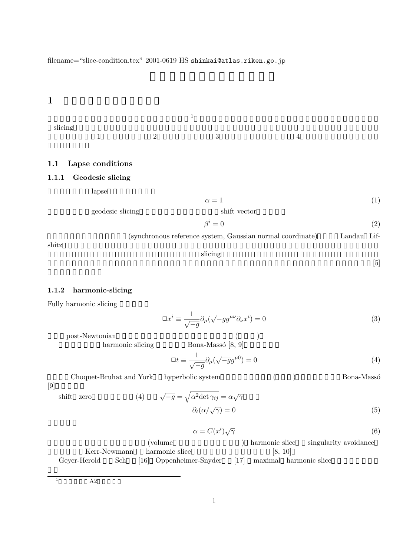filename="slice-condition.tex" 2001-0619 HS shinkai@atlas.riken.go.jp

 $1$ 

 $\mathbf 1$ slicing べき事柄として,1)特異点の回避, 2)方程式の簡略化, 3)重力波の漸近的振舞い, 4)既知の厳密解との比較,な

# **1.1 Lapse conditions**

## **1.1.1 Geodesic slicing**

lapse

| $\alpha=1$ |  | (1) |  |
|------------|--|-----|--|
|            |  |     |  |

| geodesic slicing | shift vector |  |
|------------------|--------------|--|
|                  |              |  |

$$
\beta^i = 0 \tag{2}
$$

(synchronous reference system, Gaussian normal coordinate) Landau Lif-

 $\text{shiftz}$ 

# $\rm slicing$ .

 $[5]$ 

## **1.1.2 harmonic-slicing**

Fully harmonic slicing

$$
\Box x^{i} \equiv \frac{1}{\sqrt{-g}} \partial_{\mu} (\sqrt{-g} g^{\mu \nu} \partial_{\nu} x^{i}) = 0
$$
\n(3)

post-Newtonian (execution and the set of  $\sim$ 

harmonic slicing Bona-Massó  $[8, 9]$ 

$$
\Box t \equiv \frac{1}{\sqrt{-g}} \partial_{\mu} (\sqrt{-g} g^{\mu 0}) = 0 \tag{4}
$$

Choquet-Bruhat and York hyperbolic system (executive coma-Massó  $[9]$ shift zero  $(4)$   $\sqrt{-g} = \sqrt{\alpha^2 \det \gamma_{ij}} = \alpha \sqrt{\gamma}$ 

 $\partial_t(\alpha/\sqrt{\gamma}) = 0$  (5)

$$
\alpha = C(x^i)\sqrt{\gamma} \tag{6}
$$

(volume ) harmonic slice singularity avoidance Kerr-Newmann harmonic slice [8, 10] Geyer-Herold Sch [16] Oppenheimer-Snyder [17] maximal harmonic slice

 $\overline{1}$  A2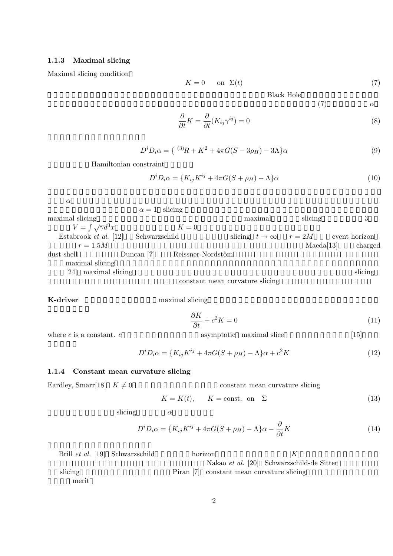# **1.1.3 Maximal slicing**

Maximal slicing condition

$$
K = 0 \qquad \text{on} \ \Sigma(t) \tag{7}
$$

Black Hole

 $(7)$  and the contract of  $(7)$ 

$$
\frac{\partial}{\partial t}K = \frac{\partial}{\partial t}(K_{ij}\gamma^{ij}) = 0\tag{8}
$$

$$
D^i D_i \alpha = \{ (3)R + K^2 + 4\pi G(S - 3\rho_H) - 3\Lambda \} \alpha
$$
\n(9)

Hamiltonian constraint

$$
D^i D_i \alpha = \{ K_{ij} K^{ij} + 4\pi G(S + \rho_H) - \Lambda \} \alpha \tag{10}
$$

 $\alpha$ 

 $\alpha = 1$  slicing

| maximal slicing               |                 |                   | maximal                         | slicing   |               |
|-------------------------------|-----------------|-------------------|---------------------------------|-----------|---------------|
| $V = \int \sqrt{\gamma} d^3x$ |                 | $K=0$             |                                 |           |               |
| Estabrook <i>et al.</i> [12]  | Schwarzschild   |                   | slicing $t \to \infty$ $r = 2M$ |           | event horizon |
| $r=1.5M$                      |                 |                   |                                 | Maeda[13] | charged       |
| dust shell                    | Duncan $[?]$    | Reissner-Nordstöm |                                 |           |               |
| maximal slicing               |                 |                   |                                 |           |               |
| $\left[ 24\right]$            | maximal slicing |                   |                                 |           | slicing       |
|                               |                 |                   | constant mean curvature slicing |           |               |

constant mean curvature slicing

**K-driver EX-driver EX-driver EX-driver EX-driver B** 

$$
\frac{\partial K}{\partial t} + c^2 K = 0\tag{11}
$$

where  $c$  is a constant.  $c$  asymptotic maximal slice [15].

$$
D^i D_i \alpha = \{ K_{ij} K^{ij} + 4\pi G(S + \rho_H) - \Lambda \} \alpha + c^2 K \tag{12}
$$

## **1.1.4 Constant mean curvature slicing**

Eardley, Smarr[18]  $K \neq 0$  constant mean curvature slicing

 $K = K(t)$ ,  $K = \text{const.}$  on  $\Sigma$  (13)

slicing  $\alpha$ 

$$
D^i D_i \alpha = \{ K_{ij} K^{ij} + 4\pi G(S + \rho_H) - \Lambda \} \alpha - \frac{\partial}{\partial t} K \tag{14}
$$

|         | Brill et al. [19] Schwarzschild | horizon                                   |                                           |  |
|---------|---------------------------------|-------------------------------------------|-------------------------------------------|--|
|         |                                 |                                           | Nakao et al. [20] Schwarzschild-de Sitter |  |
| slicing |                                 | Piran [7] constant mean curvature slicing |                                           |  |
| merit   |                                 |                                           |                                           |  |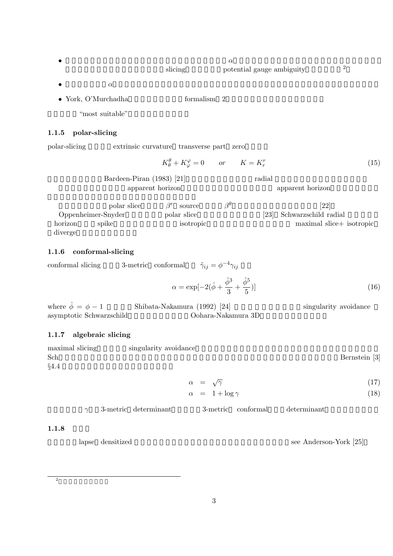| slicing | potential gauge ambiguity |  |
|---------|---------------------------|--|

•  $\alpha$ 

• York, O'Murchadha formalism 2

"most suitable"

## **1.1.5 polar-slicing**

polar-slicing extrinsic curvature transverse part zero

$$
K^{\theta}_{\theta} + K^{\varphi}_{\varphi} = 0 \qquad or \qquad K = K^{r}_{r}
$$
 (15)  
Bardeen-Piran (1983) [21]  
and  
apparent horizon  
apparent horizon  
approxon

|                    | polar slice | source      | $\beta^\theta$ |                    | [22]                      |
|--------------------|-------------|-------------|----------------|--------------------|---------------------------|
| Oppenheimer-Snyder |             | polar slice |                | $\left[ 23\right]$ | Schwarzschild radial      |
| horizon            | spike       | isotropic   |                |                    | maximal slice + isotropic |
| diverge            |             |             |                |                    |                           |

# **1.1.6 conformal-slicing**

conformal slicing 3-metric conformal  $\tilde{\gamma}_{ij} = \phi^{-4}\gamma_{ij}$ 

$$
\alpha = \exp[-2(\hat{\phi} + \frac{\hat{\phi}^3}{3} + \frac{\hat{\phi}^5}{5})]
$$
\n(16)

where  $\hat{\phi} = \phi - 1$  Shibata-Nakamura (1992) [24] singularity avoidance asymptotic Schwarzschildの特性があるとされ,Oohara-Nakamura 3Dコードで使われている.

# **1.1.7 algebraic slicing**

| maximal slicing | singularity avoidance |               |
|-----------------|-----------------------|---------------|
| Sch             |                       | Bernstein [3] |
| §4.4            |                       |               |

$$
\alpha = \sqrt{\gamma} \tag{17}
$$

 $\alpha = 1 + \log \gamma$  (18)

 $\gamma$  3-metric determinant 3-metric conformal determinant

 $1.1.8$ 

 $\tag{25} \label{eq:25}$ lapse densitized  $\textsc{S}$ 

2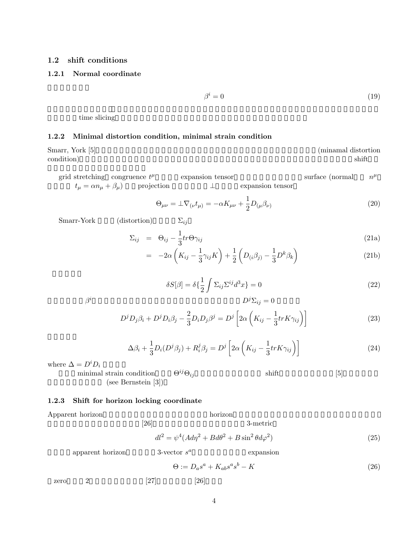# **1.2 shift conditions**

## **1.2.1 Normal coordinate**

 $\beta^i = 0 \tag{19} \label{eq:3}$ 

time slicing

# **1.2.2 Minimal distortion condition, minimal strain condition**

Smarr, York [5] (minamal distortion) condition) shift

grid stretching congruence 
$$
t^{\mu}
$$
 expansion tensor  
\n $t_{\mu} = \alpha n_{\mu} + \beta_{\mu}$  projection\n $\perp$  expansion tensor

$$
\Theta_{\mu\nu} = \pm \nabla_{(\nu} t_{\mu)} = -\alpha K_{\mu\nu} + \frac{1}{2} D_{(\mu} \beta_{\nu)} \tag{20}
$$

Smarr-York (distortion)  $\Sigma_{ij}$ 

$$
\Sigma_{ij} = \Theta_{ij} - \frac{1}{3} tr \Theta \gamma_{ij}
$$
\n(21a)

$$
= -2\alpha \left( K_{ij} - \frac{1}{3} \gamma_{ij} K \right) + \frac{1}{2} \left( D_{(i} \beta_{j)} - \frac{1}{3} D^{k} \beta_{k} \right) \tag{21b}
$$

$$
\delta S[\beta] = \delta \left\{ \frac{1}{2} \int \Sigma_{ij} \Sigma^{ij} d^3 x \right\} = 0
$$
\n
$$
D^j \Sigma_{ij} = 0
$$
\n(22)

 $\beta^i$ 

$$
D^j D_j \beta_i + D^j D_i \beta_j - \frac{2}{3} D_i D_j \beta^j = D^j \left[ 2\alpha \left( K_{ij} - \frac{1}{3} tr K \gamma_{ij} \right) \right]
$$
\n(23)

$$
\Delta\beta_i + \frac{1}{3}D_i(D^j\beta_j) + R_i^j\beta_j = D^j\left[2\alpha\left(K_{ij} - \frac{1}{3}trK\gamma_{ij}\right)\right]
$$
\n(24)

where  $\Delta = D^i D_i$ 

minimal strain condition

\n
$$
\Theta^{ij}\Theta_{ij}
$$
\nshift

\n[5]

\n(see Bernstein [3])

# **1.2.3 Shift for horizon locking coordinate**

Apparent horizon horizon

$$
[26]
$$
 3-metric  

$$
dl^2 = \psi^4 (Ad\eta^2 + Bd\theta^2 + B\sin^2\theta d\varphi^2)
$$
 (25)

apparent horizon  $3$ -vector  $s^a$  expansion

$$
\Theta := D_a s^a + K_{ab} s^a s^b - K \tag{26}
$$

zero  $2$   $[27]$   $[26]$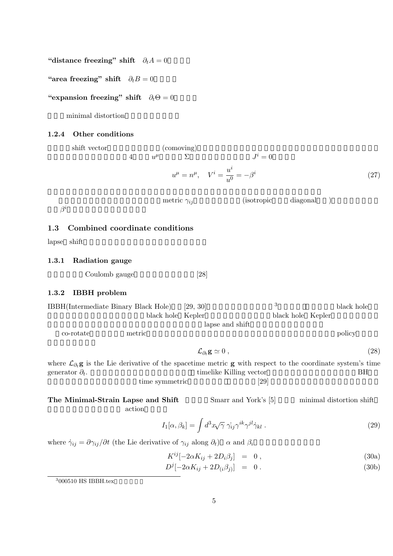**"distance freezing" shift**  $\partial_t A = 0$ 

"area freezing" shift  $\partial_t B = 0$ 

"expansion freezing" shift  $\partial_t \Theta = 0$ 

minimal distortion

## **1.2.4 Other conditions**

comoving)<br>  $\chi$ shift vector (comoving)  $4\qquad u^{\mu} \qquad \qquad \Sigma \qquad \qquad J^{i}=0$  $u^{\mu} = n^{\mu}, \quad V^{i} = \frac{u^{i}}{u^{0}} = -\beta^{i}$  (27)  $\text{metric } \gamma_{ij}$  (isotropic diagonal)

 $\beta^i$ 

## **1.3 Combined coordinate conditions**

lapse shift

#### **1.3.1 Radiation gauge**

Coulomb gauge [28]

## **1.3.2 IBBH problem**

| IBBH(Intermediate Binary Black Hole) |                   | [29, 30]                                         |                   | black hole |      |
|--------------------------------------|-------------------|--------------------------------------------------|-------------------|------------|------|
|                                      | black hole Kepler |                                                  | black hole Kepler |            |      |
|                                      |                   | lapse and shift                                  |                   |            |      |
| co-rotate                            | metric            |                                                  |                   | policy     |      |
|                                      |                   | $\mathcal{L}_{\partial_t} \mathbf{g} \simeq 0$ , |                   |            | (28) |

where L∂*t***g** is the Lie derivative of the spacetime metric **g** with respect to the coordinate system's time generator  $\partial_t$ . 
BH timelike Killing vector 力波を放出しながら運動するのでtime symmetricではないから).そこで,[29] では二つの座標条件を提案しています.

## **The Minimal-Strain Lapse and Shift** Smarr and York's [5] minimal distortion shift action

 $I_1[\alpha, \beta_k] = \int d^3x \sqrt{\gamma} \gamma_{ij} \gamma^{ik} \gamma^{jl} \dot{\gamma}_{kl}$  . (29)

where  $\dot{\gamma}_{ij} = \partial \gamma_{ij}/\partial t$  (the Lie derivative of  $\gamma_{ij}$  along  $\partial_t$ )  $\alpha$  and  $\beta_i$ 

$$
K^{ij}[-2\alpha K_{ij} + 2D_i\beta_j] = 0, \qquad (30a)
$$

$$
D^{j}[-2\alpha K_{ij} + 2D_{(i}\beta_{j})] = 0.
$$
 (30b)

 $3000510$  HS IBBH.tex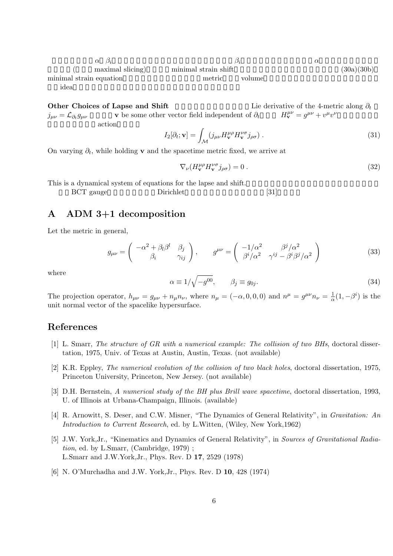| $D_i$                   |                      |            |
|-------------------------|----------------------|------------|
| maximal slicing)        | minimal strain shift | (30a)(30b) |
| minimal strain equation | metric<br>volume     |            |
| idea                    |                      |            |

**Other Choices of Lapse and Shift**  $\qquad \qquad$  Lie derivative of the 4-metric along  $\partial_t$  $j_{\mu\nu} = \mathcal{L}_{\partial_t} g_{\mu\nu}$  v be some other vector field independent of  $\partial_t$  $H_{\mathbf{v}}^{\mu\nu} = q^{\mu\nu} + v^{\mu}v^{\nu}$ action

$$
I_2[\partial_t; \mathbf{v}] = \int_{\mathcal{M}} (j_{\mu\nu} H_{\mathbf{v}}^{\mu\rho} H_{\mathbf{v}}^{\nu\sigma} j_{\rho\sigma}) \ . \tag{31}
$$

On varying  $\partial_t$ , while holding **v** and the spacetime metric fixed, we arrive at

$$
\nabla_{\nu} (H_{\mathbf{v}}^{\mu \rho} H_{\mathbf{v}}^{\nu \sigma} j_{\rho \sigma}) = 0.
$$
\n(32)

This is a dynamical system of equations for the lapse and shift.

BCT gauge Dirichlet [31]

# **A ADM 3+1 decomposition**

Let the metric in general,

$$
g_{\mu\nu} = \begin{pmatrix} -\alpha^2 + \beta_l \beta^l & \beta_j \\ \beta_i & \gamma_{ij} \end{pmatrix}, \qquad g^{\mu\nu} = \begin{pmatrix} -1/\alpha^2 & \beta^j/\alpha^2 \\ \beta^i/\alpha^2 & \gamma^{ij} - \beta^i \beta^j/\alpha^2 \end{pmatrix}
$$
(33)

where

$$
\alpha \equiv 1/\sqrt{-g^{00}}, \qquad \beta_j \equiv g_{0j}.
$$
\n(34)

The projection operator,  $h_{\mu\nu} = g_{\mu\nu} + n_{\mu}n_{\nu}$ , where  $n_{\mu} = (-\alpha, 0, 0, 0)$  and  $n^{\mu} = g^{\mu\nu}n_{\nu} = \frac{1}{\alpha}(1, -\beta^i)$  is the unit normal vector of the spacelike hypersurface.

# **References**

- [1] L. Smarr, The structure of GR with a numerical example: The collision of two BHs, doctoral dissertation, 1975, Univ. of Texas at Austin, Austin, Texas. (not available)
- [2] K.R. Eppley, The numerical evolution of the collision of two black holes, doctoral dissertation, 1975, Princeton University, Princeton, New Jersey. (not available)
- [3] D.H. Bernstein, A numerical study of the BH plus Brill wave spacetime, doctoral dissertation, 1993, U. of Illinois at Urbana-Champaign, Illinois. (available)
- [4] R. Arnowitt, S. Deser, and C.W. Misner, "The Dynamics of General Relativity", in *Gravitation: An* Introduction to Current Research, ed. by L.Witten, (Wiley, New York,1962)
- [5] J.W. York,Jr., "Kinematics and Dynamics of General Relativity", in Sources of Gravitational Radiation, ed. by L.Smarr, (Cambridge, 1979) ; L.Smarr and J.W.York,Jr., Phys. Rev. D **17**, 2529 (1978)
- [6] N. O'Murchadha and J.W. York,Jr., Phys. Rev. D **10**, 428 (1974)